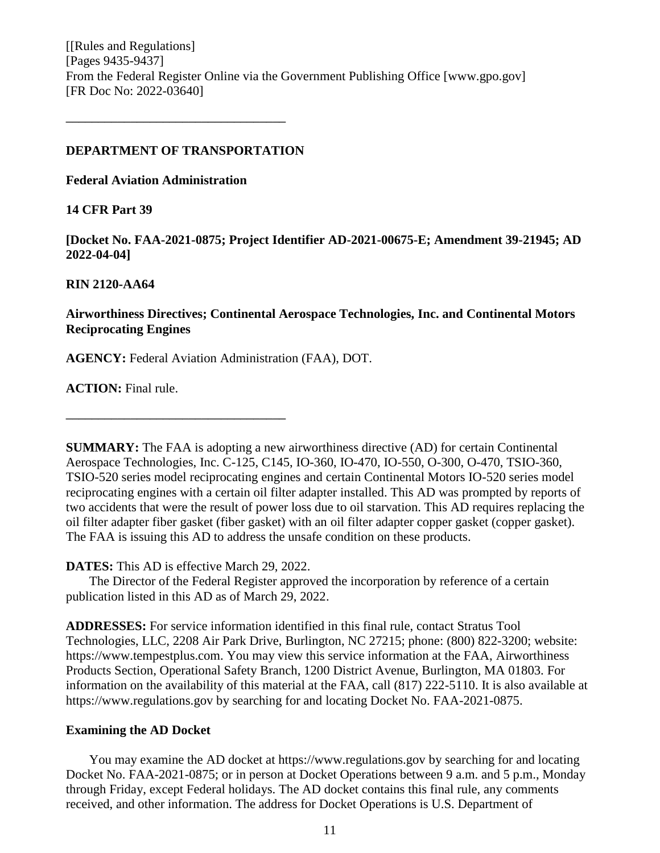# **DEPARTMENT OF TRANSPORTATION**

**––––––––––––––––––––––––––––––––––**

**Federal Aviation Administration**

# **14 CFR Part 39**

**[Docket No. FAA-2021-0875; Project Identifier AD-2021-00675-E; Amendment 39-21945; AD 2022-04-04]**

# **RIN 2120-AA64**

# **Airworthiness Directives; Continental Aerospace Technologies, Inc. and Continental Motors Reciprocating Engines**

**AGENCY:** Federal Aviation Administration (FAA), DOT.

**ACTION:** Final rule.

**SUMMARY:** The FAA is adopting a new airworthiness directive (AD) for certain Continental Aerospace Technologies, Inc. C-125, C145, IO-360, IO-470, IO-550, O-300, O-470, TSIO-360, TSIO-520 series model reciprocating engines and certain Continental Motors IO-520 series model reciprocating engines with a certain oil filter adapter installed. This AD was prompted by reports of two accidents that were the result of power loss due to oil starvation. This AD requires replacing the oil filter adapter fiber gasket (fiber gasket) with an oil filter adapter copper gasket (copper gasket). The FAA is issuing this AD to address the unsafe condition on these products.

## **DATES:** This AD is effective March 29, 2022.

**––––––––––––––––––––––––––––––––––**

The Director of the Federal Register approved the incorporation by reference of a certain publication listed in this AD as of March 29, 2022.

**ADDRESSES:** For service information identified in this final rule, contact Stratus Tool Technologies, LLC, 2208 Air Park Drive, Burlington, NC 27215; phone: (800) 822-3200; website: https://www.tempestplus.com. You may view this service information at the FAA, Airworthiness Products Section, Operational Safety Branch, 1200 District Avenue, Burlington, MA 01803. For information on the availability of this material at the FAA, call (817) 222-5110. It is also available at https://www.regulations.gov by searching for and locating Docket No. FAA-2021-0875.

## **Examining the AD Docket**

You may examine the AD docket at https://www.regulations.gov by searching for and locating Docket No. FAA-2021-0875; or in person at Docket Operations between 9 a.m. and 5 p.m., Monday through Friday, except Federal holidays. The AD docket contains this final rule, any comments received, and other information. The address for Docket Operations is U.S. Department of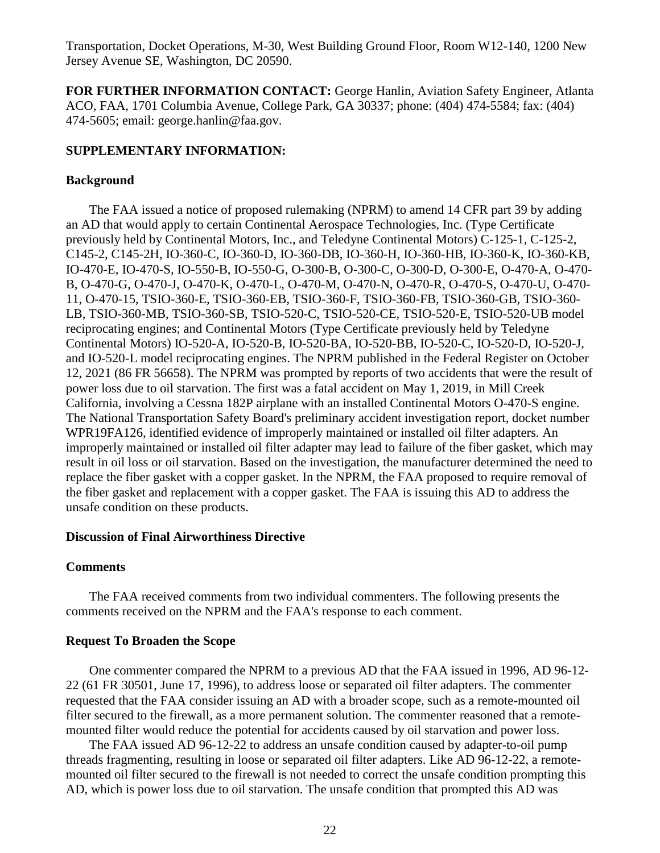Transportation, Docket Operations, M-30, West Building Ground Floor, Room W12-140, 1200 New Jersey Avenue SE, Washington, DC 20590.

**FOR FURTHER INFORMATION CONTACT:** George Hanlin, Aviation Safety Engineer, Atlanta ACO, FAA, 1701 Columbia Avenue, College Park, GA 30337; phone: (404) 474-5584; fax: (404) 474-5605; email: george.hanlin@faa.gov.

#### **SUPPLEMENTARY INFORMATION:**

#### **Background**

The FAA issued a notice of proposed rulemaking (NPRM) to amend 14 CFR part 39 by adding an AD that would apply to certain Continental Aerospace Technologies, Inc. (Type Certificate previously held by Continental Motors, Inc., and Teledyne Continental Motors) C-125-1, C-125-2, C145-2, C145-2H, IO-360-C, IO-360-D, IO-360-DB, IO-360-H, IO-360-HB, IO-360-K, IO-360-KB, IO-470-E, IO-470-S, IO-550-B, IO-550-G, O-300-B, O-300-C, O-300-D, O-300-E, O-470-A, O-470- B, O-470-G, O-470-J, O-470-K, O-470-L, O-470-M, O-470-N, O-470-R, O-470-S, O-470-U, O-470- 11, O-470-15, TSIO-360-E, TSIO-360-EB, TSIO-360-F, TSIO-360-FB, TSIO-360-GB, TSIO-360- LB, TSIO-360-MB, TSIO-360-SB, TSIO-520-C, TSIO-520-CE, TSIO-520-E, TSIO-520-UB model reciprocating engines; and Continental Motors (Type Certificate previously held by Teledyne Continental Motors) IO-520-A, IO-520-B, IO-520-BA, IO-520-BB, IO-520-C, IO-520-D, IO-520-J, and IO-520-L model reciprocating engines. The NPRM published in the Federal Register on October 12, 2021 (86 FR 56658). The NPRM was prompted by reports of two accidents that were the result of power loss due to oil starvation. The first was a fatal accident on May 1, 2019, in Mill Creek California, involving a Cessna 182P airplane with an installed Continental Motors O-470-S engine. The National Transportation Safety Board's preliminary accident investigation report, docket number WPR19FA126, identified evidence of improperly maintained or installed oil filter adapters. An improperly maintained or installed oil filter adapter may lead to failure of the fiber gasket, which may result in oil loss or oil starvation. Based on the investigation, the manufacturer determined the need to replace the fiber gasket with a copper gasket. In the NPRM, the FAA proposed to require removal of the fiber gasket and replacement with a copper gasket. The FAA is issuing this AD to address the unsafe condition on these products.

#### **Discussion of Final Airworthiness Directive**

#### **Comments**

The FAA received comments from two individual commenters. The following presents the comments received on the NPRM and the FAA's response to each comment.

#### **Request To Broaden the Scope**

One commenter compared the NPRM to a previous AD that the FAA issued in 1996, AD 96-12- 22 (61 FR 30501, June 17, 1996), to address loose or separated oil filter adapters. The commenter requested that the FAA consider issuing an AD with a broader scope, such as a remote-mounted oil filter secured to the firewall, as a more permanent solution. The commenter reasoned that a remotemounted filter would reduce the potential for accidents caused by oil starvation and power loss.

The FAA issued AD 96-12-22 to address an unsafe condition caused by adapter-to-oil pump threads fragmenting, resulting in loose or separated oil filter adapters. Like AD 96-12-22, a remotemounted oil filter secured to the firewall is not needed to correct the unsafe condition prompting this AD, which is power loss due to oil starvation. The unsafe condition that prompted this AD was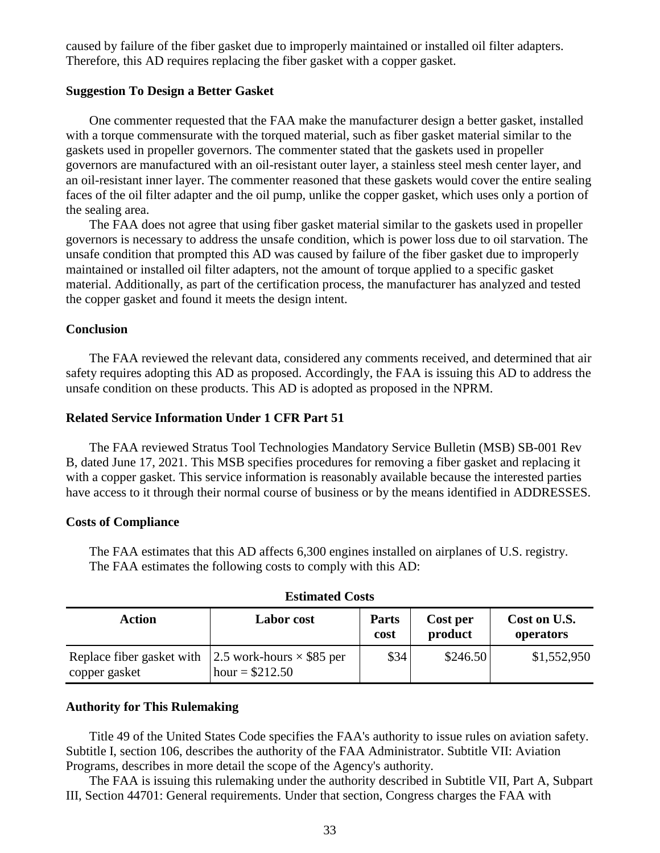caused by failure of the fiber gasket due to improperly maintained or installed oil filter adapters. Therefore, this AD requires replacing the fiber gasket with a copper gasket.

#### **Suggestion To Design a Better Gasket**

One commenter requested that the FAA make the manufacturer design a better gasket, installed with a torque commensurate with the torqued material, such as fiber gasket material similar to the gaskets used in propeller governors. The commenter stated that the gaskets used in propeller governors are manufactured with an oil-resistant outer layer, a stainless steel mesh center layer, and an oil-resistant inner layer. The commenter reasoned that these gaskets would cover the entire sealing faces of the oil filter adapter and the oil pump, unlike the copper gasket, which uses only a portion of the sealing area.

The FAA does not agree that using fiber gasket material similar to the gaskets used in propeller governors is necessary to address the unsafe condition, which is power loss due to oil starvation. The unsafe condition that prompted this AD was caused by failure of the fiber gasket due to improperly maintained or installed oil filter adapters, not the amount of torque applied to a specific gasket material. Additionally, as part of the certification process, the manufacturer has analyzed and tested the copper gasket and found it meets the design intent.

#### **Conclusion**

The FAA reviewed the relevant data, considered any comments received, and determined that air safety requires adopting this AD as proposed. Accordingly, the FAA is issuing this AD to address the unsafe condition on these products. This AD is adopted as proposed in the NPRM.

#### **Related Service Information Under 1 CFR Part 51**

The FAA reviewed Stratus Tool Technologies Mandatory Service Bulletin (MSB) SB-001 Rev B, dated June 17, 2021. This MSB specifies procedures for removing a fiber gasket and replacing it with a copper gasket. This service information is reasonably available because the interested parties have access to it through their normal course of business or by the means identified in ADDRESSES.

#### **Costs of Compliance**

The FAA estimates that this AD affects 6,300 engines installed on airplanes of U.S. registry. The FAA estimates the following costs to comply with this AD:

| попписа сова                                                                |                   |                      |                     |                           |
|-----------------------------------------------------------------------------|-------------------|----------------------|---------------------|---------------------------|
| <b>Action</b>                                                               | <b>Labor</b> cost | <b>Parts</b><br>cost | Cost per<br>product | Cost on U.S.<br>operators |
| Replace fiber gasket with 2.5 work-hours $\times$ \$85 per<br>copper gasket | hour = $$212.50$  | \$34                 | \$246.50            | \$1,552,950               |

#### **Estimated Costs**

### **Authority for This Rulemaking**

Title 49 of the United States Code specifies the FAA's authority to issue rules on aviation safety. Subtitle I, section 106, describes the authority of the FAA Administrator. Subtitle VII: Aviation Programs, describes in more detail the scope of the Agency's authority.

The FAA is issuing this rulemaking under the authority described in Subtitle VII, Part A, Subpart III, Section 44701: General requirements. Under that section, Congress charges the FAA with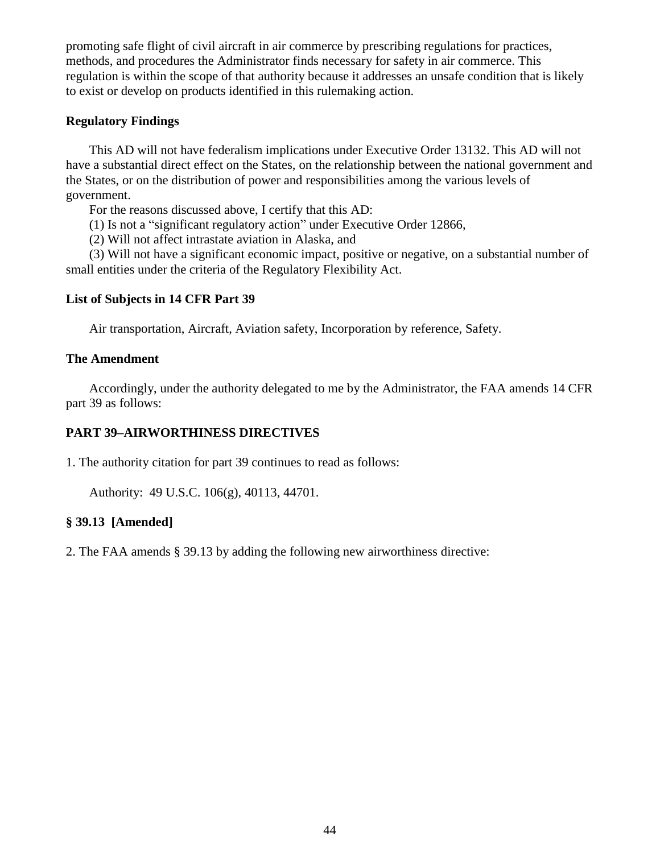promoting safe flight of civil aircraft in air commerce by prescribing regulations for practices, methods, and procedures the Administrator finds necessary for safety in air commerce. This regulation is within the scope of that authority because it addresses an unsafe condition that is likely to exist or develop on products identified in this rulemaking action.

# **Regulatory Findings**

This AD will not have federalism implications under Executive Order 13132. This AD will not have a substantial direct effect on the States, on the relationship between the national government and the States, or on the distribution of power and responsibilities among the various levels of government.

For the reasons discussed above, I certify that this AD:

(1) Is not a "significant regulatory action" under Executive Order 12866,

(2) Will not affect intrastate aviation in Alaska, and

(3) Will not have a significant economic impact, positive or negative, on a substantial number of small entities under the criteria of the Regulatory Flexibility Act.

# **List of Subjects in 14 CFR Part 39**

Air transportation, Aircraft, Aviation safety, Incorporation by reference, Safety.

# **The Amendment**

Accordingly, under the authority delegated to me by the Administrator, the FAA amends 14 CFR part 39 as follows:

# **PART 39–AIRWORTHINESS DIRECTIVES**

1. The authority citation for part 39 continues to read as follows:

Authority: 49 U.S.C. 106(g), 40113, 44701.

# **§ 39.13 [Amended]**

2. The FAA amends § 39.13 by adding the following new airworthiness directive: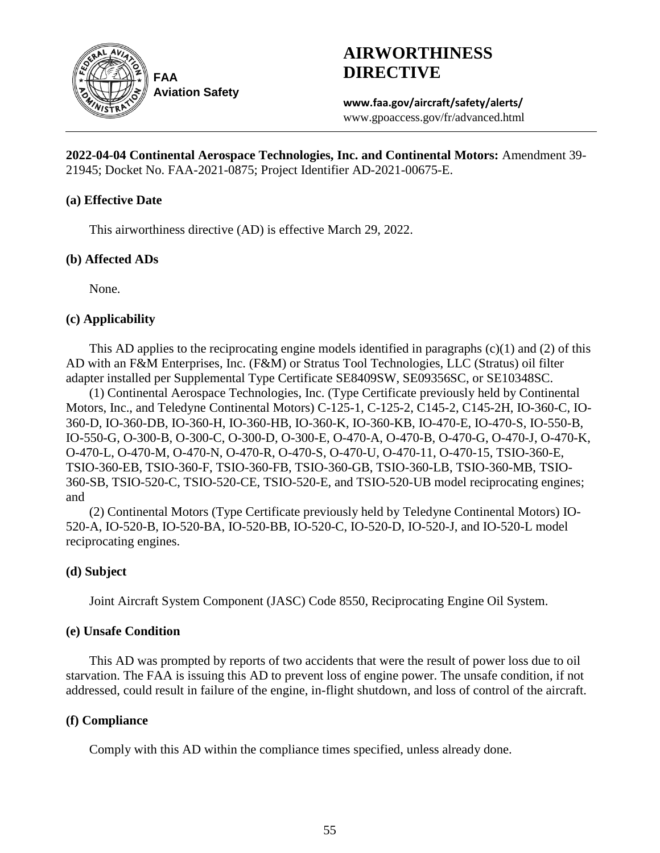

# **AIRWORTHINESS DIRECTIVE**

**www.faa.gov/aircraft/safety/alerts/** www.gpoaccess.gov/fr/advanced.html

**2022-04-04 Continental Aerospace Technologies, Inc. and Continental Motors:** Amendment 39- 21945; Docket No. FAA-2021-0875; Project Identifier AD-2021-00675-E.

## **(a) Effective Date**

This airworthiness directive (AD) is effective March 29, 2022.

## **(b) Affected ADs**

None.

## **(c) Applicability**

This AD applies to the reciprocating engine models identified in paragraphs  $(c)(1)$  and  $(2)$  of this AD with an F&M Enterprises, Inc. (F&M) or Stratus Tool Technologies, LLC (Stratus) oil filter adapter installed per Supplemental Type Certificate SE8409SW, SE09356SC, or SE10348SC.

(1) Continental Aerospace Technologies, Inc. (Type Certificate previously held by Continental Motors, Inc., and Teledyne Continental Motors) C-125-1, C-125-2, C145-2, C145-2H, IO-360-C, IO-360-D, IO-360-DB, IO-360-H, IO-360-HB, IO-360-K, IO-360-KB, IO-470-E, IO-470-S, IO-550-B, IO-550-G, O-300-B, O-300-C, O-300-D, O-300-E, O-470-A, O-470-B, O-470-G, O-470-J, O-470-K, O-470-L, O-470-M, O-470-N, O-470-R, O-470-S, O-470-U, O-470-11, O-470-15, TSIO-360-E, TSIO-360-EB, TSIO-360-F, TSIO-360-FB, TSIO-360-GB, TSIO-360-LB, TSIO-360-MB, TSIO-360-SB, TSIO-520-C, TSIO-520-CE, TSIO-520-E, and TSIO-520-UB model reciprocating engines; and

(2) Continental Motors (Type Certificate previously held by Teledyne Continental Motors) IO-520-A, IO-520-B, IO-520-BA, IO-520-BB, IO-520-C, IO-520-D, IO-520-J, and IO-520-L model reciprocating engines.

## **(d) Subject**

Joint Aircraft System Component (JASC) Code 8550, Reciprocating Engine Oil System.

#### **(e) Unsafe Condition**

This AD was prompted by reports of two accidents that were the result of power loss due to oil starvation. The FAA is issuing this AD to prevent loss of engine power. The unsafe condition, if not addressed, could result in failure of the engine, in-flight shutdown, and loss of control of the aircraft.

## **(f) Compliance**

Comply with this AD within the compliance times specified, unless already done.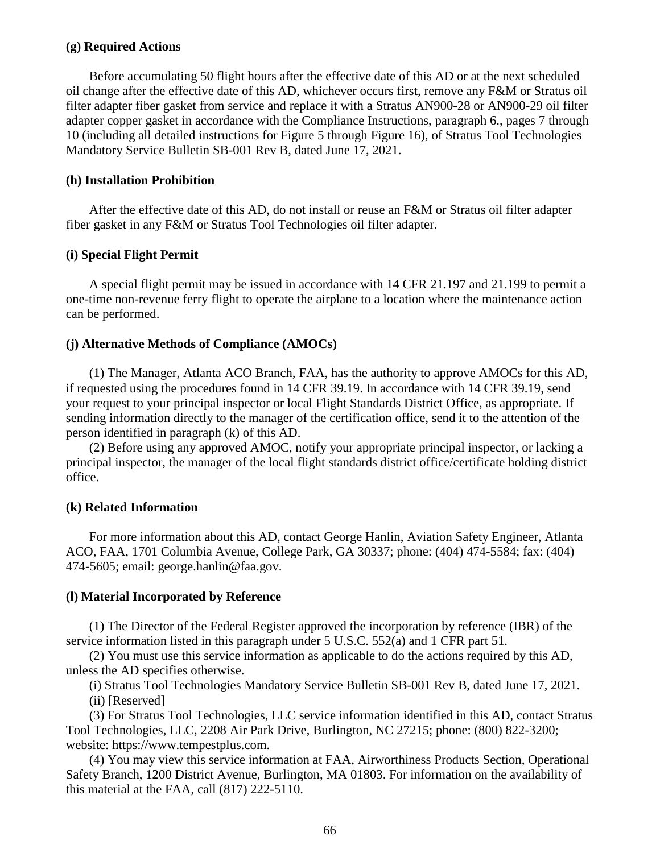#### **(g) Required Actions**

Before accumulating 50 flight hours after the effective date of this AD or at the next scheduled oil change after the effective date of this AD, whichever occurs first, remove any F&M or Stratus oil filter adapter fiber gasket from service and replace it with a Stratus AN900-28 or AN900-29 oil filter adapter copper gasket in accordance with the Compliance Instructions, paragraph 6., pages 7 through 10 (including all detailed instructions for Figure 5 through Figure 16), of Stratus Tool Technologies Mandatory Service Bulletin SB-001 Rev B, dated June 17, 2021.

#### **(h) Installation Prohibition**

After the effective date of this AD, do not install or reuse an F&M or Stratus oil filter adapter fiber gasket in any F&M or Stratus Tool Technologies oil filter adapter.

#### **(i) Special Flight Permit**

A special flight permit may be issued in accordance with 14 CFR 21.197 and 21.199 to permit a one-time non-revenue ferry flight to operate the airplane to a location where the maintenance action can be performed.

#### **(j) Alternative Methods of Compliance (AMOCs)**

(1) The Manager, Atlanta ACO Branch, FAA, has the authority to approve AMOCs for this AD, if requested using the procedures found in 14 CFR 39.19. In accordance with 14 CFR 39.19, send your request to your principal inspector or local Flight Standards District Office, as appropriate. If sending information directly to the manager of the certification office, send it to the attention of the person identified in paragraph (k) of this AD.

(2) Before using any approved AMOC, notify your appropriate principal inspector, or lacking a principal inspector, the manager of the local flight standards district office/certificate holding district office.

#### **(k) Related Information**

For more information about this AD, contact George Hanlin, Aviation Safety Engineer, Atlanta ACO, FAA, 1701 Columbia Avenue, College Park, GA 30337; phone: (404) 474-5584; fax: (404) 474-5605; email: george.hanlin@faa.gov.

#### **(l) Material Incorporated by Reference**

(1) The Director of the Federal Register approved the incorporation by reference (IBR) of the service information listed in this paragraph under 5 U.S.C. 552(a) and 1 CFR part 51.

(2) You must use this service information as applicable to do the actions required by this AD, unless the AD specifies otherwise.

(i) Stratus Tool Technologies Mandatory Service Bulletin SB-001 Rev B, dated June 17, 2021.

(ii) [Reserved]

(3) For Stratus Tool Technologies, LLC service information identified in this AD, contact Stratus Tool Technologies, LLC, 2208 Air Park Drive, Burlington, NC 27215; phone: (800) 822-3200; website: https://www.tempestplus.com.

(4) You may view this service information at FAA, Airworthiness Products Section, Operational Safety Branch, 1200 District Avenue, Burlington, MA 01803. For information on the availability of this material at the FAA, call (817) 222-5110.